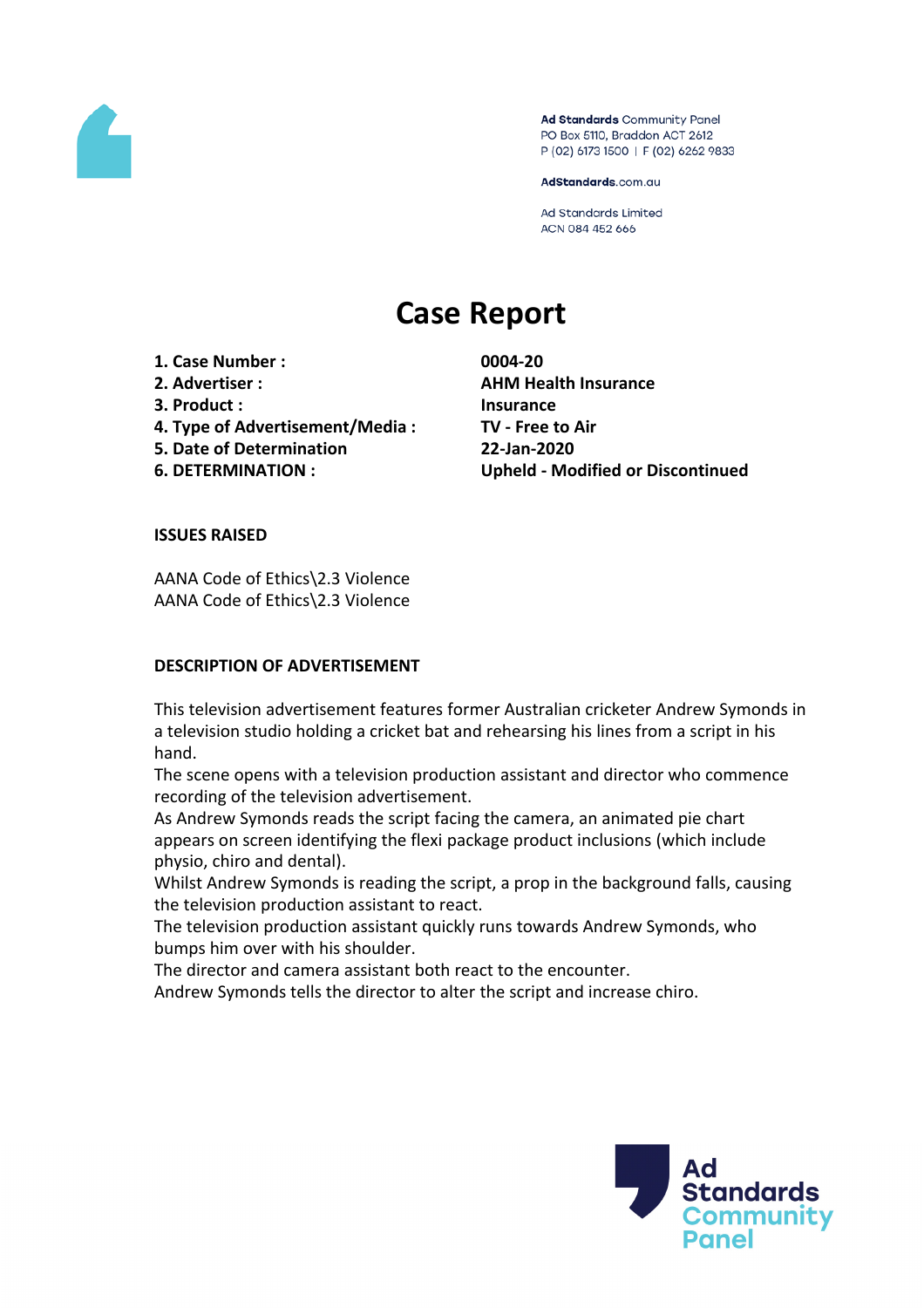

Ad Standards Community Panel PO Box 5110, Braddon ACT 2612 P (02) 6173 1500 | F (02) 6262 9833

AdStandards.com.au

Ad Standards Limited ACN 084 452 666

# **Case Report**

**1. Case Number : 0004-20**

- 
- 
- **4. Type of Advertisement/Media : TV - Free to Air**
- **5. Date of Determination 22-Jan-2020**

**2. Advertiser : AHM Health Insurance 3. Product : Insurance 6. DETERMINATION : Upheld - Modified or Discontinued**

# **ISSUES RAISED**

AANA Code of Ethics\2.3 Violence AANA Code of Ethics\2.3 Violence

# **DESCRIPTION OF ADVERTISEMENT**

This television advertisement features former Australian cricketer Andrew Symonds in a television studio holding a cricket bat and rehearsing his lines from a script in his hand.

The scene opens with a television production assistant and director who commence recording of the television advertisement.

As Andrew Symonds reads the script facing the camera, an animated pie chart appears on screen identifying the flexi package product inclusions (which include physio, chiro and dental).

Whilst Andrew Symonds is reading the script, a prop in the background falls, causing the television production assistant to react.

The television production assistant quickly runs towards Andrew Symonds, who bumps him over with his shoulder.

The director and camera assistant both react to the encounter.

Andrew Symonds tells the director to alter the script and increase chiro.

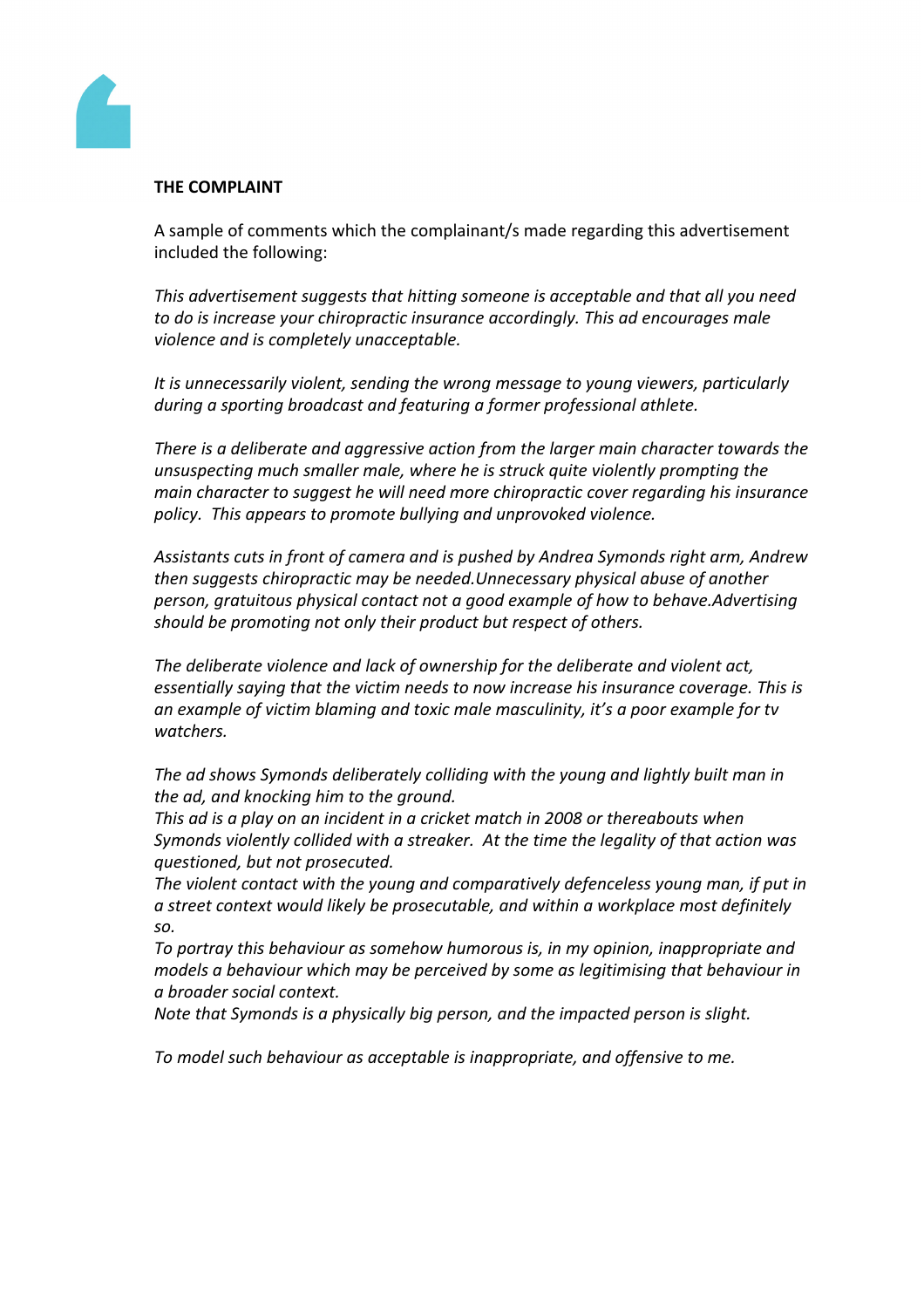

# **THE COMPLAINT**

A sample of comments which the complainant/s made regarding this advertisement included the following:

*This advertisement suggests that hitting someone is acceptable and that all you need to do is increase your chiropractic insurance accordingly. This ad encourages male violence and is completely unacceptable.*

*It is unnecessarily violent, sending the wrong message to young viewers, particularly during a sporting broadcast and featuring a former professional athlete.*

*There is a deliberate and aggressive action from the larger main character towards the unsuspecting much smaller male, where he is struck quite violently prompting the main character to suggest he will need more chiropractic cover regarding his insurance policy. This appears to promote bullying and unprovoked violence.*

*Assistants cuts in front of camera and is pushed by Andrea Symonds right arm, Andrew then suggests chiropractic may be needed.Unnecessary physical abuse of another person, gratuitous physical contact not a good example of how to behave.Advertising should be promoting not only their product but respect of others.*

*The deliberate violence and lack of ownership for the deliberate and violent act, essentially saying that the victim needs to now increase his insurance coverage. This is an example of victim blaming and toxic male masculinity, it's a poor example for tv watchers.*

*The ad shows Symonds deliberately colliding with the young and lightly built man in the ad, and knocking him to the ground.*

*This ad is a play on an incident in a cricket match in 2008 or thereabouts when Symonds violently collided with a streaker. At the time the legality of that action was questioned, but not prosecuted.*

*The violent contact with the young and comparatively defenceless young man, if put in a street context would likely be prosecutable, and within a workplace most definitely so.*

*To portray this behaviour as somehow humorous is, in my opinion, inappropriate and models a behaviour which may be perceived by some as legitimising that behaviour in a broader social context.*

*Note that Symonds is a physically big person, and the impacted person is slight.*

*To model such behaviour as acceptable is inappropriate, and offensive to me.*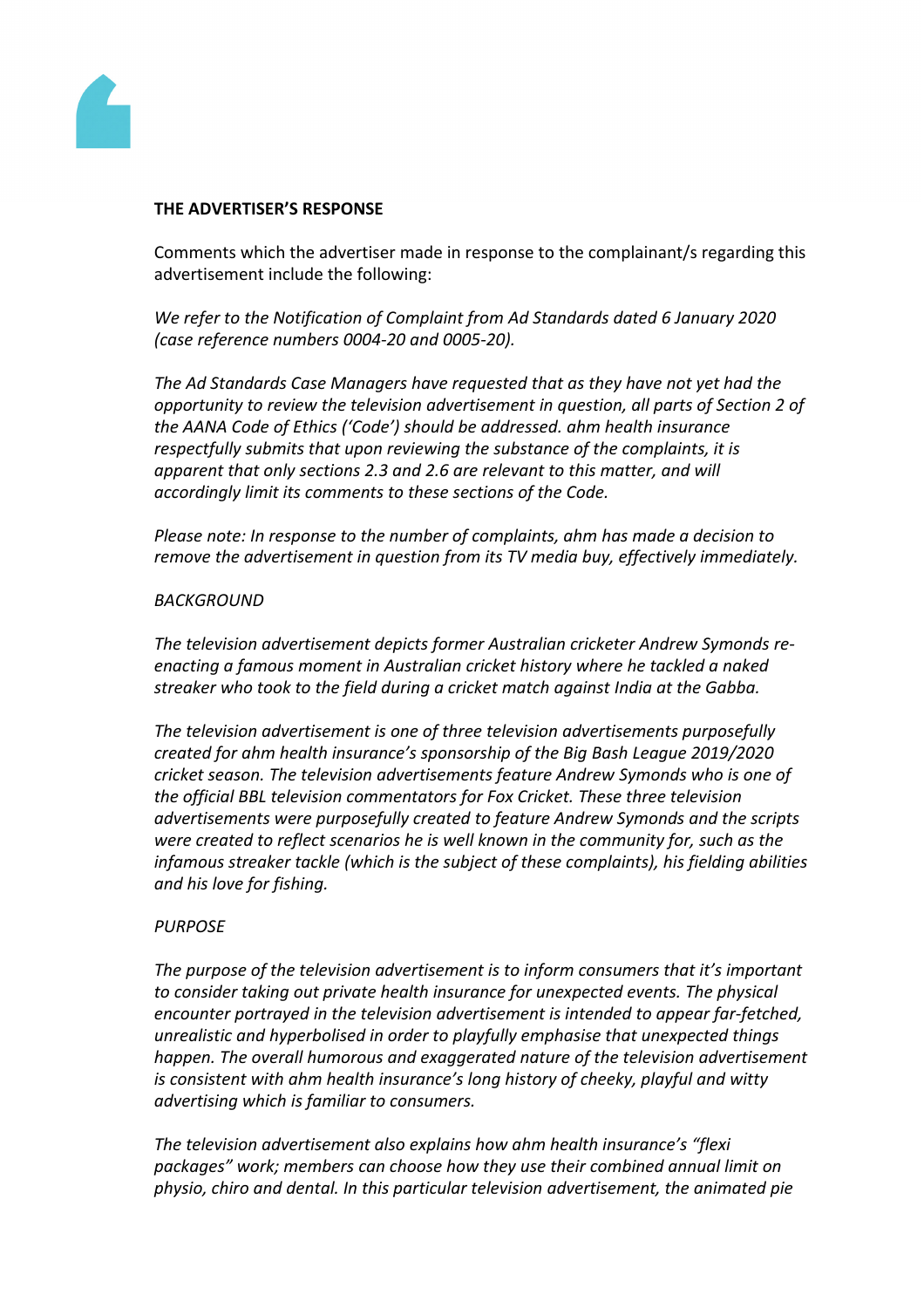

# **THE ADVERTISER'S RESPONSE**

Comments which the advertiser made in response to the complainant/s regarding this advertisement include the following:

*We refer to the Notification of Complaint from Ad Standards dated 6 January 2020 (case reference numbers 0004-20 and 0005-20).*

*The Ad Standards Case Managers have requested that as they have not yet had the opportunity to review the television advertisement in question, all parts of Section 2 of the AANA Code of Ethics ('Code') should be addressed. ahm health insurance respectfully submits that upon reviewing the substance of the complaints, it is apparent that only sections 2.3 and 2.6 are relevant to this matter, and will accordingly limit its comments to these sections of the Code.*

*Please note: In response to the number of complaints, ahm has made a decision to remove the advertisement in question from its TV media buy, effectively immediately.*

# *BACKGROUND*

*The television advertisement depicts former Australian cricketer Andrew Symonds reenacting a famous moment in Australian cricket history where he tackled a naked streaker who took to the field during a cricket match against India at the Gabba.*

*The television advertisement is one of three television advertisements purposefully created for ahm health insurance's sponsorship of the Big Bash League 2019/2020 cricket season. The television advertisements feature Andrew Symonds who is one of the official BBL television commentators for Fox Cricket. These three television advertisements were purposefully created to feature Andrew Symonds and the scripts were created to reflect scenarios he is well known in the community for, such as the infamous streaker tackle (which is the subject of these complaints), his fielding abilities and his love for fishing.*

# *PURPOSE*

*The purpose of the television advertisement is to inform consumers that it's important to consider taking out private health insurance for unexpected events. The physical encounter portrayed in the television advertisement is intended to appear far-fetched, unrealistic and hyperbolised in order to playfully emphasise that unexpected things happen. The overall humorous and exaggerated nature of the television advertisement is consistent with ahm health insurance's long history of cheeky, playful and witty advertising which is familiar to consumers.*

*The television advertisement also explains how ahm health insurance's "flexi packages" work; members can choose how they use their combined annual limit on physio, chiro and dental. In this particular television advertisement, the animated pie*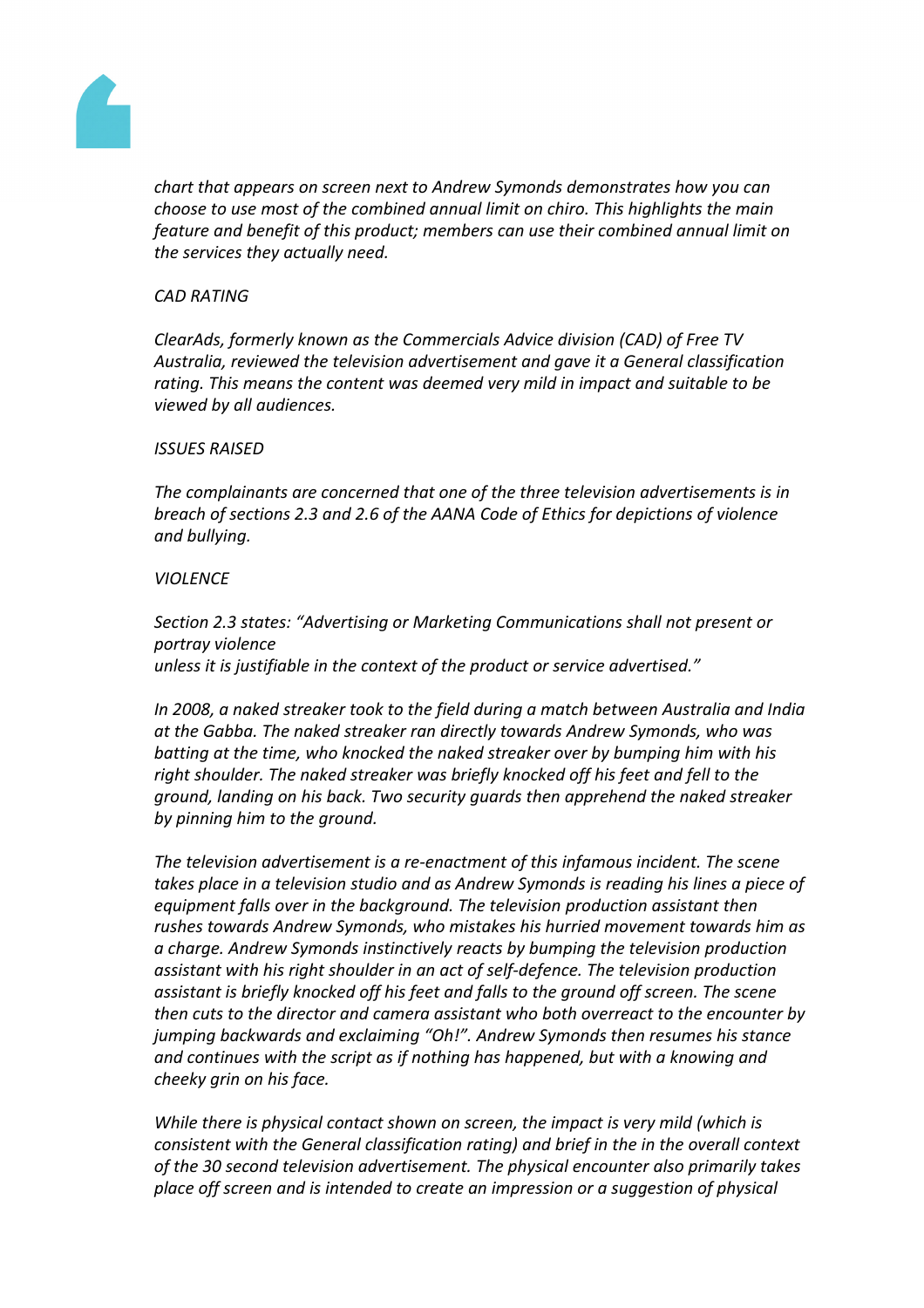

*chart that appears on screen next to Andrew Symonds demonstrates how you can choose to use most of the combined annual limit on chiro. This highlights the main feature and benefit of this product; members can use their combined annual limit on the services they actually need.*

#### *CAD RATING*

*ClearAds, formerly known as the Commercials Advice division (CAD) of Free TV Australia, reviewed the television advertisement and gave it a General classification rating. This means the content was deemed very mild in impact and suitable to be viewed by all audiences.*

#### *ISSUES RAISED*

*The complainants are concerned that one of the three television advertisements is in breach of sections 2.3 and 2.6 of the AANA Code of Ethics for depictions of violence and bullying.*

#### *VIOLENCE*

*Section 2.3 states: "Advertising or Marketing Communications shall not present or portray violence unless it is justifiable in the context of the product or service advertised."*

*In 2008, a naked streaker took to the field during a match between Australia and India at the Gabba. The naked streaker ran directly towards Andrew Symonds, who was batting at the time, who knocked the naked streaker over by bumping him with his right shoulder. The naked streaker was briefly knocked off his feet and fell to the ground, landing on his back. Two security guards then apprehend the naked streaker by pinning him to the ground.*

*The television advertisement is a re-enactment of this infamous incident. The scene takes place in a television studio and as Andrew Symonds is reading his lines a piece of equipment falls over in the background. The television production assistant then rushes towards Andrew Symonds, who mistakes his hurried movement towards him as a charge. Andrew Symonds instinctively reacts by bumping the television production assistant with his right shoulder in an act of self-defence. The television production assistant is briefly knocked off his feet and falls to the ground off screen. The scene then cuts to the director and camera assistant who both overreact to the encounter by jumping backwards and exclaiming "Oh!". Andrew Symonds then resumes his stance and continues with the script as if nothing has happened, but with a knowing and cheeky grin on his face.*

*While there is physical contact shown on screen, the impact is very mild (which is consistent with the General classification rating) and brief in the in the overall context of the 30 second television advertisement. The physical encounter also primarily takes place off screen and is intended to create an impression or a suggestion of physical*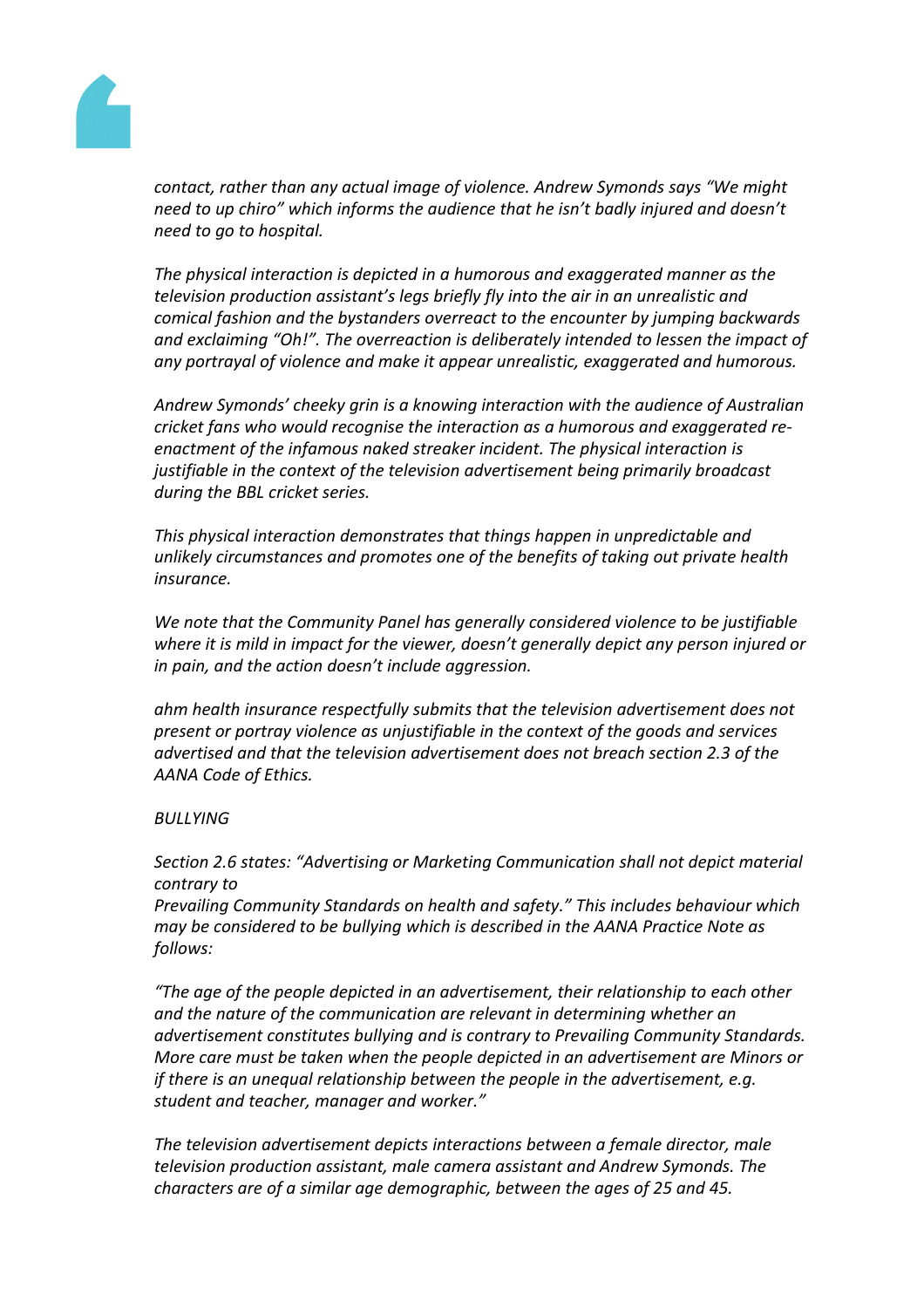

*contact, rather than any actual image of violence. Andrew Symonds says "We might need to up chiro" which informs the audience that he isn't badly injured and doesn't need to go to hospital.*

*The physical interaction is depicted in a humorous and exaggerated manner as the television production assistant's legs briefly fly into the air in an unrealistic and comical fashion and the bystanders overreact to the encounter by jumping backwards and exclaiming "Oh!". The overreaction is deliberately intended to lessen the impact of any portrayal of violence and make it appear unrealistic, exaggerated and humorous.*

*Andrew Symonds' cheeky grin is a knowing interaction with the audience of Australian cricket fans who would recognise the interaction as a humorous and exaggerated reenactment of the infamous naked streaker incident. The physical interaction is justifiable in the context of the television advertisement being primarily broadcast during the BBL cricket series.*

*This physical interaction demonstrates that things happen in unpredictable and unlikely circumstances and promotes one of the benefits of taking out private health insurance.*

*We note that the Community Panel has generally considered violence to be justifiable where it is mild in impact for the viewer, doesn't generally depict any person injured or in pain, and the action doesn't include aggression.*

*ahm health insurance respectfully submits that the television advertisement does not present or portray violence as unjustifiable in the context of the goods and services advertised and that the television advertisement does not breach section 2.3 of the AANA Code of Ethics.*

# *BULLYING*

*Section 2.6 states: "Advertising or Marketing Communication shall not depict material contrary to*

*Prevailing Community Standards on health and safety." This includes behaviour which may be considered to be bullying which is described in the AANA Practice Note as follows:*

*"The age of the people depicted in an advertisement, their relationship to each other and the nature of the communication are relevant in determining whether an advertisement constitutes bullying and is contrary to Prevailing Community Standards. More care must be taken when the people depicted in an advertisement are Minors or if there is an unequal relationship between the people in the advertisement, e.g. student and teacher, manager and worker."*

*The television advertisement depicts interactions between a female director, male television production assistant, male camera assistant and Andrew Symonds. The characters are of a similar age demographic, between the ages of 25 and 45.*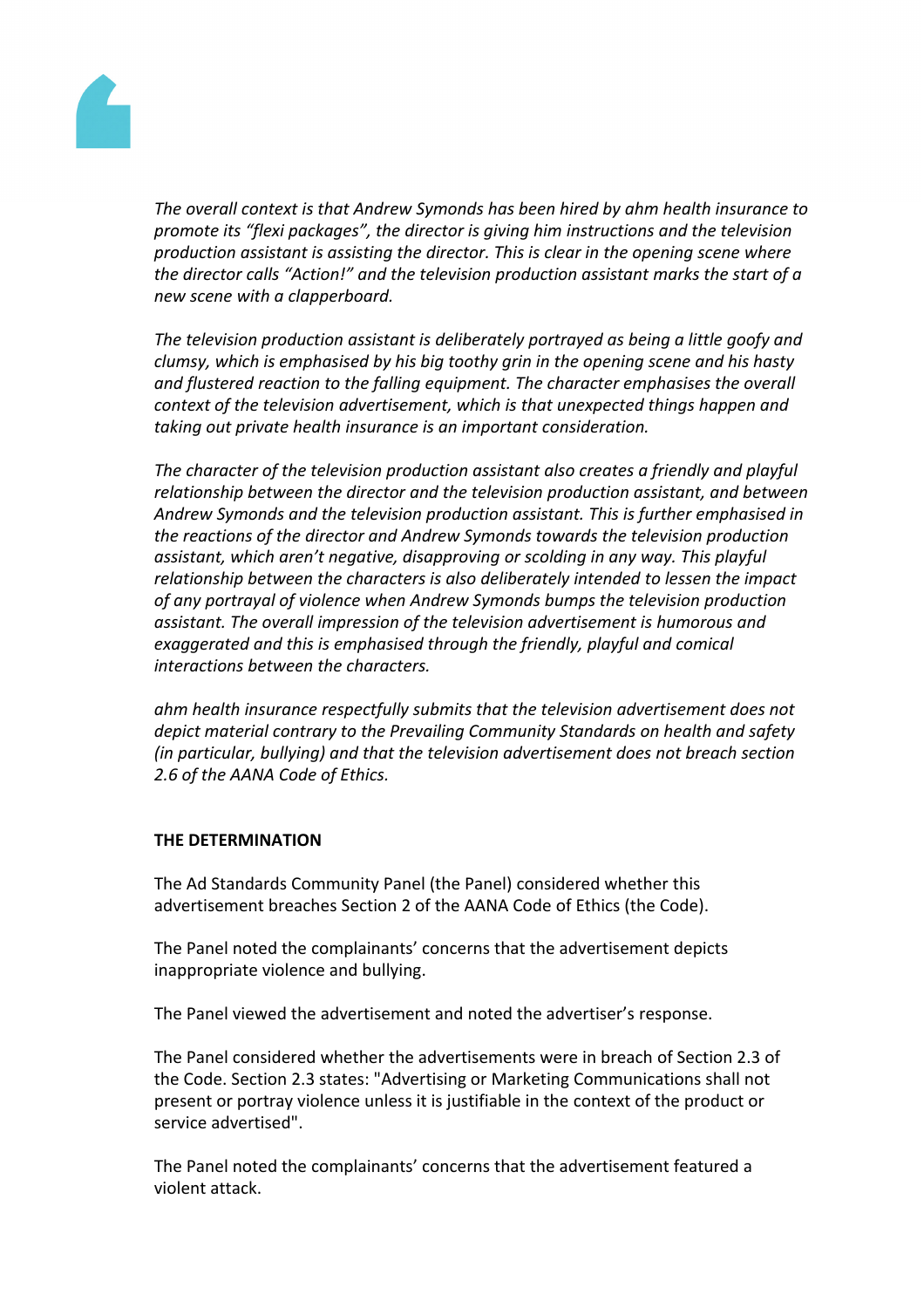

*The overall context is that Andrew Symonds has been hired by ahm health insurance to promote its "flexi packages", the director is giving him instructions and the television production assistant is assisting the director. This is clear in the opening scene where the director calls "Action!" and the television production assistant marks the start of a new scene with a clapperboard.*

*The television production assistant is deliberately portrayed as being a little goofy and clumsy, which is emphasised by his big toothy grin in the opening scene and his hasty and flustered reaction to the falling equipment. The character emphasises the overall context of the television advertisement, which is that unexpected things happen and taking out private health insurance is an important consideration.*

*The character of the television production assistant also creates a friendly and playful relationship between the director and the television production assistant, and between Andrew Symonds and the television production assistant. This is further emphasised in the reactions of the director and Andrew Symonds towards the television production assistant, which aren't negative, disapproving or scolding in any way. This playful relationship between the characters is also deliberately intended to lessen the impact of any portrayal of violence when Andrew Symonds bumps the television production assistant. The overall impression of the television advertisement is humorous and exaggerated and this is emphasised through the friendly, playful and comical interactions between the characters.*

*ahm health insurance respectfully submits that the television advertisement does not depict material contrary to the Prevailing Community Standards on health and safety (in particular, bullying) and that the television advertisement does not breach section 2.6 of the AANA Code of Ethics.*

# **THE DETERMINATION**

The Ad Standards Community Panel (the Panel) considered whether this advertisement breaches Section 2 of the AANA Code of Ethics (the Code).

The Panel noted the complainants' concerns that the advertisement depicts inappropriate violence and bullying.

The Panel viewed the advertisement and noted the advertiser's response.

The Panel considered whether the advertisements were in breach of Section 2.3 of the Code. Section 2.3 states: "Advertising or Marketing Communications shall not present or portray violence unless it is justifiable in the context of the product or service advertised".

The Panel noted the complainants' concerns that the advertisement featured a violent attack.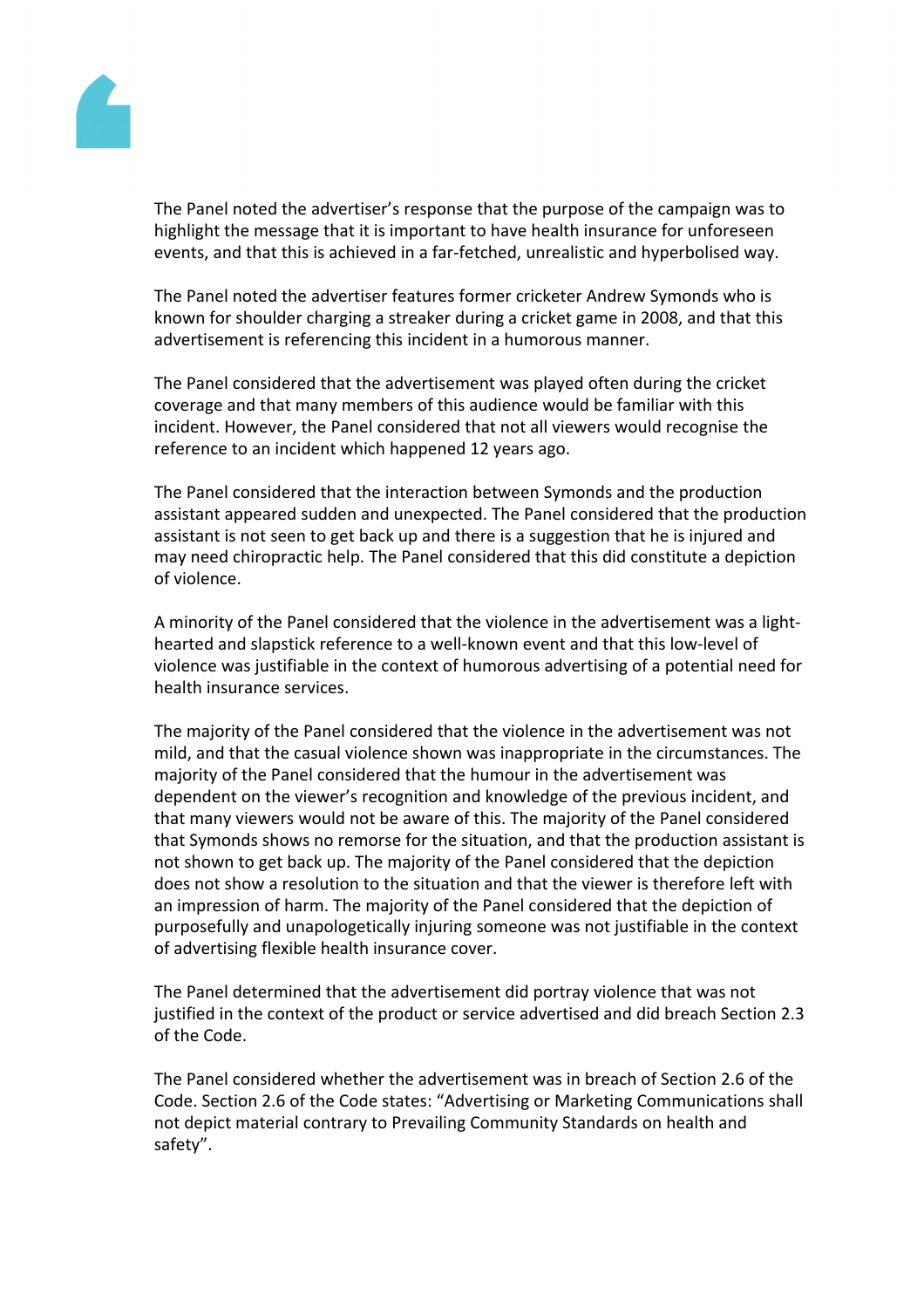

The Panel noted the advertiser's response that the purpose of the campaign was to highlight the message that it is important to have health insurance for unforeseen events, and that this is achieved in a far-fetched, unrealistic and hyperbolised way.

The Panel noted the advertiser features former cricketer Andrew Symonds who is known for shoulder charging a streaker during a cricket game in 2008, and that this advertisement is referencing this incident in a humorous manner.

The Panel considered that the advertisement was played often during the cricket coverage and that many members of this audience would be familiar with this incident. However, the Panel considered that not all viewers would recognise the reference to an incident which happened 12 years ago.

The Panel considered that the interaction between Symonds and the production assistant appeared sudden and unexpected. The Panel considered that the production assistant is not seen to get back up and there is a suggestion that he is injured and may need chiropractic help. The Panel considered that this did constitute a depiction of violence.

A minority of the Panel considered that the violence in the advertisement was a lighthearted and slapstick reference to a well-known event and that this low-level of violence was justifiable in the context of humorous advertising of a potential need for health insurance services.

The majority of the Panel considered that the violence in the advertisement was not mild, and that the casual violence shown was inappropriate in the circumstances. The majority of the Panel considered that the humour in the advertisement was dependent on the viewer's recognition and knowledge of the previous incident, and that many viewers would not be aware of this. The majority of the Panel considered that Symonds shows no remorse for the situation, and that the production assistant is not shown to get back up. The majority of the Panel considered that the depiction does not show a resolution to the situation and that the viewer is therefore left with an impression of harm. The majority of the Panel considered that the depiction of purposefully and unapologetically injuring someone was not justifiable in the context of advertising flexible health insurance cover.

The Panel determined that the advertisement did portray violence that was not justified in the context of the product or service advertised and did breach Section 2.3 of the Code.

The Panel considered whether the advertisement was in breach of Section 2.6 of the Code. Section 2.6 of the Code states: "Advertising or Marketing Communications shall not depict material contrary to Prevailing Community Standards on health and safety".